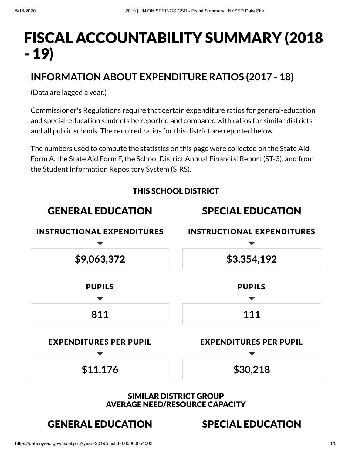# FISCAL ACCOUNTABILITY SUMMARY (2018 - 19)

# **INFORMATION ABOUT EXPENDITURE RATIOS (2017 - 18)**

(Data are lagged a year.)

Commissioner's Regulations require that certain expenditure ratios for general-education and special-education students be reported and compared with ratios for similar districts and all public schools. The required ratios for this district are reported below.

The numbers used to compute the statistics on this page were collected on the State Aid Form A, the State Aid Form F, the School District Annual Financial Report (ST-3), and from the Student Information Repository System (SIRS).

THIS SCHOOL DISTRICT



AVERAGE NEED/RESOURCE CAPACITY

# GENERAL EDUCATION SPECIAL EDUCATION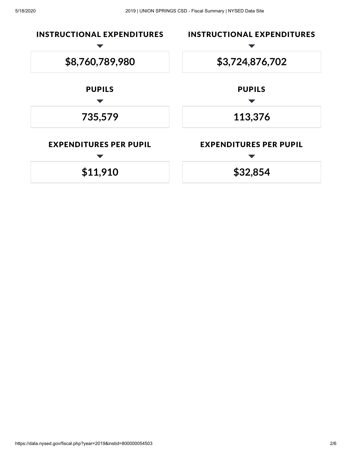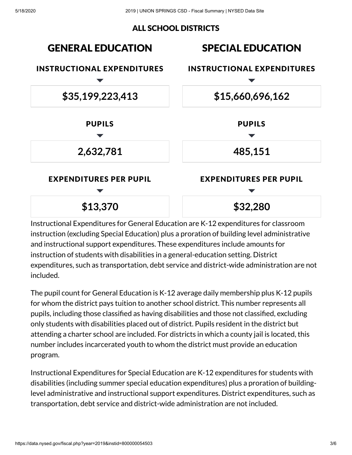#### ALL SCHOOL DISTRICTS



Instructional Expenditures for General Education are K-12 expenditures for classroom instruction (excluding Special Education) plus a proration of building level administrative and instructional support expenditures. These expenditures include amounts for instruction of students with disabilities in a general-education setting. District expenditures, such as transportation, debt service and district-wide administration are not included.

The pupil count for General Education is K-12 average daily membership plus K-12 pupils for whom the district pays tuition to another school district. This number represents all pupils, including those classified as having disabilities and those not classified, excluding only students with disabilities placed out of district. Pupils resident in the district but attending a charter school are included. For districts in which a county jail is located, this number includes incarcerated youth to whom the district must provide an education program.

Instructional Expenditures for Special Education are K-12 expenditures for students with disabilities (including summer special education expenditures) plus a proration of buildinglevel administrative and instructional support expenditures. District expenditures, such as transportation, debt service and district-wide administration are not included.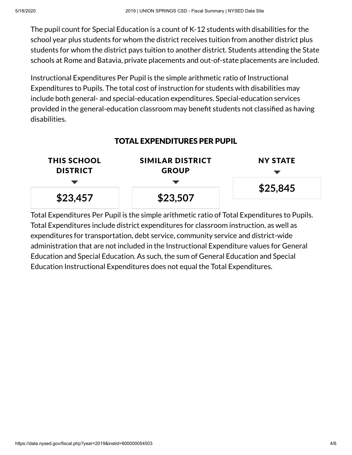The pupil count for Special Education is a count of K-12 students with disabilities for the school year plus students for whom the district receives tuition from another district plus students for whom the district pays tuition to another district. Students attending the State schools at Rome and Batavia, private placements and out-of-state placements are included.

Instructional Expenditures Per Pupil is the simple arithmetic ratio of Instructional Expenditures to Pupils. The total cost of instruction for students with disabilities may include both general- and special-education expenditures. Special-education services provided in the general-education classroom may benefit students not classified as having disabilities.

#### TOTAL EXPENDITURES PER PUPIL



Total Expenditures Per Pupil is the simple arithmetic ratio of Total Expenditures to Pupils. Total Expenditures include district expenditures for classroom instruction, as well as expenditures for transportation, debt service, community service and district-wide administration that are not included in the Instructional Expenditure values for General Education and Special Education. As such, the sum of General Education and Special Education Instructional Expenditures does not equal the Total Expenditures.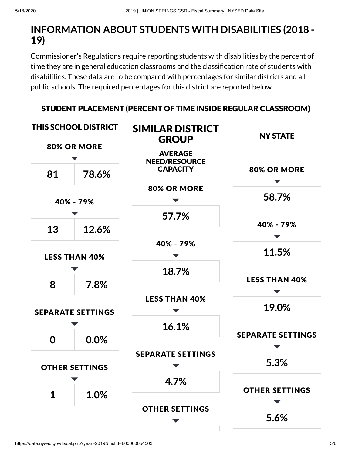# **INFORMATION ABOUT STUDENTS WITH DISABILITIES (2018 - 19)**

Commissioner's Regulations require reporting students with disabilities by the percent of time they are in general education classrooms and the classification rate of students with disabilities. These data are to be compared with percentages for similar districts and all public schools. The required percentages for this district are reported below.



#### STUDENT PLACEMENT (PERCENT OF TIME INSIDE REGULAR CLASSROOM)